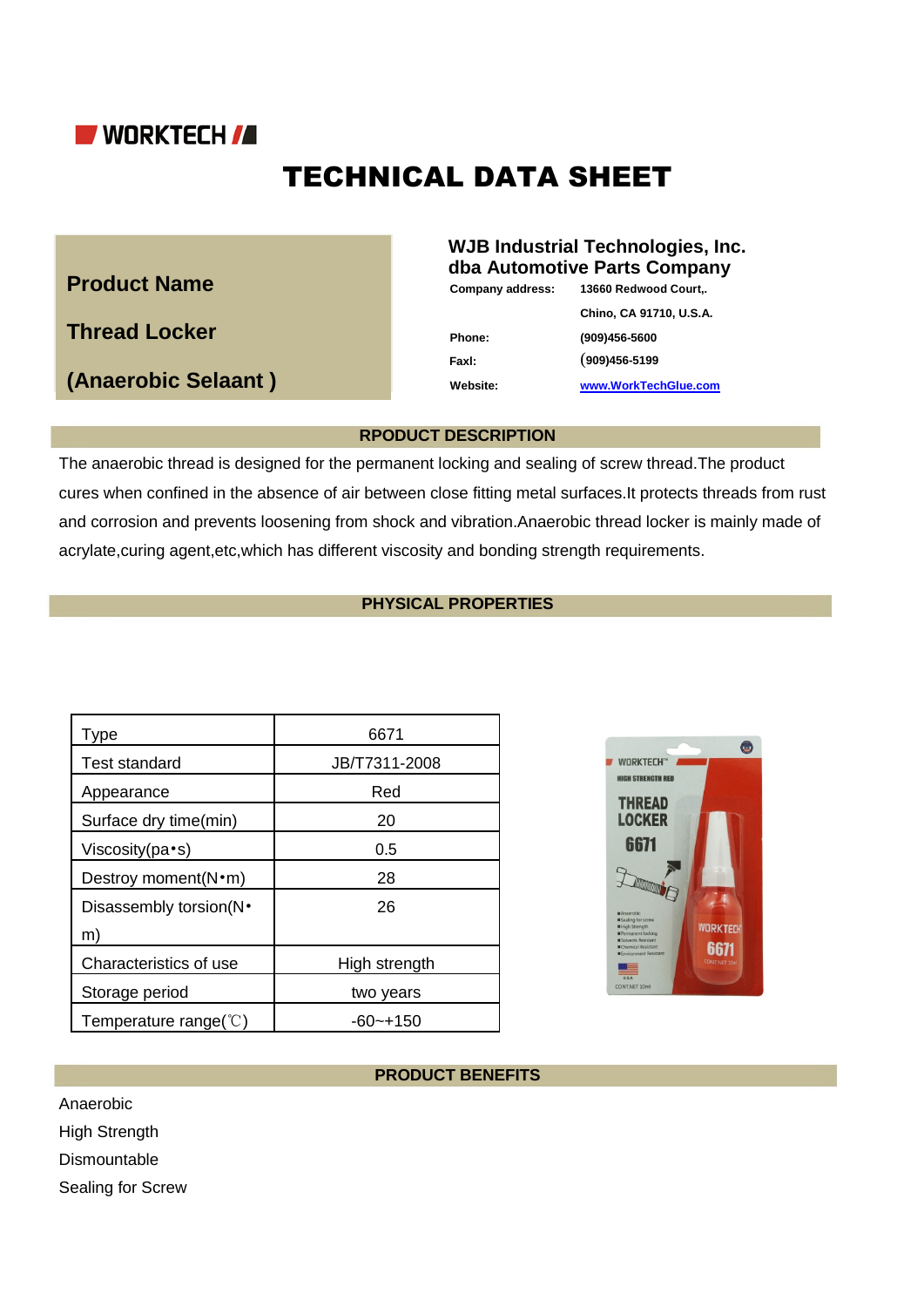

# TECHNICAL DATA SHEET

# **Product Name**

**Thread Locker**

**(Anaerobic Selaant )**

# **WJB Industrial Technologies, Inc. dba Automotive Parts Company**

**Company address: 13660 Redwood Court,.**

**Chino, CA 91710, U.S.A. Phone: (909)456-5600 Faxl:** (**909)456-5199**

**Website: www.WorkTechGlue.com**

# **RPODUCT DESCRIPTION**

The anaerobic thread is designed for the permanent locking and sealing of screw thread.The product cures when confined in the absence of air between close fitting metal surfaces.It protects threads from rust and corrosion and prevents loosening from shock and vibration.Anaerobic thread locker is mainly made of acrylate,curing agent,etc,which has different viscosity and bonding strength requirements.

# **PHYSICAL PROPERTIES**

| Type                            | 6671          |
|---------------------------------|---------------|
| <b>Test standard</b>            | JB/T7311-2008 |
| Appearance                      | Red           |
| Surface dry time(min)           | 20            |
| Viscosity(pa•s)                 | 0.5           |
| Destroy moment(N•m)             | 28            |
| Disassembly torsion(N·          | 26            |
| m)                              |               |
| Characteristics of use          | High strength |
| Storage period                  | two years     |
| Temperature range( $\degree$ C) | -60~+150      |



# **PRODUCT BENEFITS**

Anaerobic

High Strength

Dismountable

Sealing for Screw